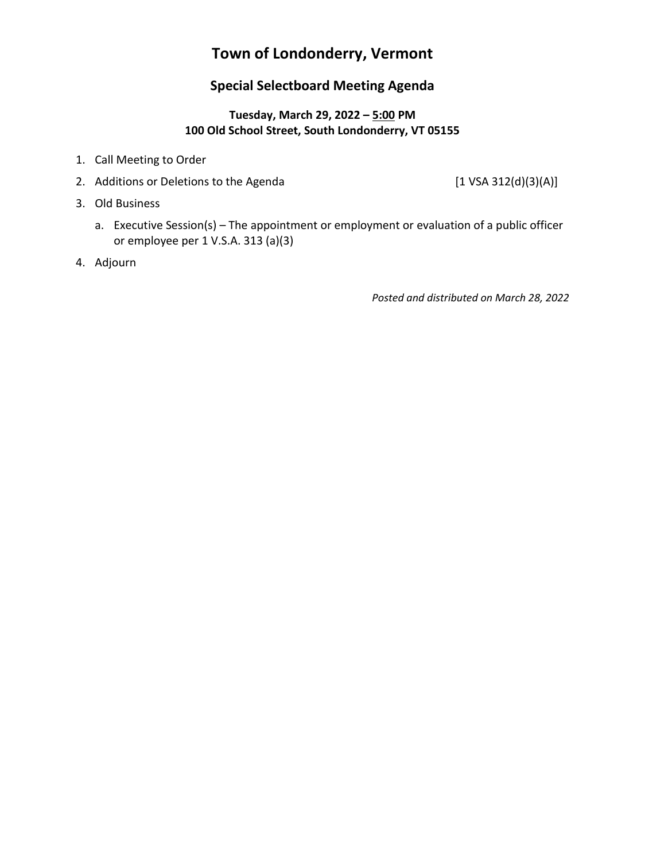# **Town of Londonderry, Vermont**

# **Special Selectboard Meeting Agenda**

### **Tuesday, March 29, 2022 – 5:00 PM 100 Old School Street, South Londonderry, VT 05155**

- 1. Call Meeting to Order
- 2. Additions or Deletions to the Agenda [1 VSA 312(d)(3)(A)]
- 3. Old Business
	- a. Executive Session(s) The appointment or employment or evaluation of a public officer or employee per 1 V.S.A. 313 (a)(3)
- 4. Adjourn

*Posted and distributed on March 28, 2022*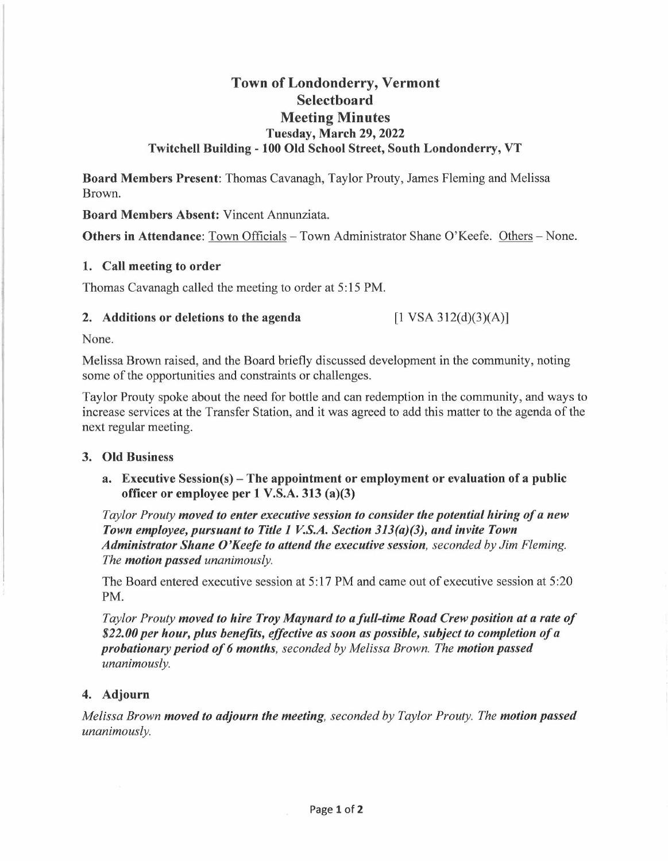## **Town of Londonderry, Vermont Selectboard Meeting Minutes Tuesday, March 29, 2022 Twitchell Building - 100 Old School Street, South Londonderry, VT**

**Board Members Present:** Thomas Cavanagh, Taylor Prouty, James Fleming and Melissa Brown.

**Board Members Absent:** Vincent Annunziata.

Others in Attendance: Town Officials - Town Administrator Shane O'Keefe. Others - None.

#### **1. Call meeting to order**

Thomas Cavanagh called the meeting to order at 5: 15 PM.

#### **2. Additions or deletions to the agenda**

 $[1 \text{ VSA } 312 \text{ (d)} \text{ (3)} \text{ (A)}]$ 

None.

Melissa Brown raised, and the Board briefly discussed development in the community, noting some of the opportunities and constraints or challenges.

Taylor Prouty spoke about the need for bottle and can redemption in the community, and ways to increase services at the Transfer Station, and it was agreed to add this matter to the agenda of the next regular meeting.

#### **3. Old Business**

**a. Executive Session(s)-The appointment or employment or evaluation of a public officer or employee per 1 V.S.A. 313 (a)(3)** 

*Taylor Prouty moved to enter executive session to consider the potential hiring of a new Town employee, pursuant to Title 1 V.S.A. Section 313(a)(3), and invite Town Administrator Shane O'Keefe to attend the executive session, seconded by Jim Fleming. The motion passed unanimously.* 

The Board entered executive session at 5:17 PM and came out of executive session at 5:20 PM.

*Taylor Prouty moved to hire Troy Maynard to a full-time Road Crew position at a rate of \$22.00 per hour, plus benefits, effective as soon as possible, subject to completion of a probationary period of 6 months, seconded by Melissa Brown. The motion passed unanimously.* 

## **4. Adjourn**

*Melissa Brown moved to adjourn the meeting, seconded by Taylor Prouty. The motion passed unanimously.*